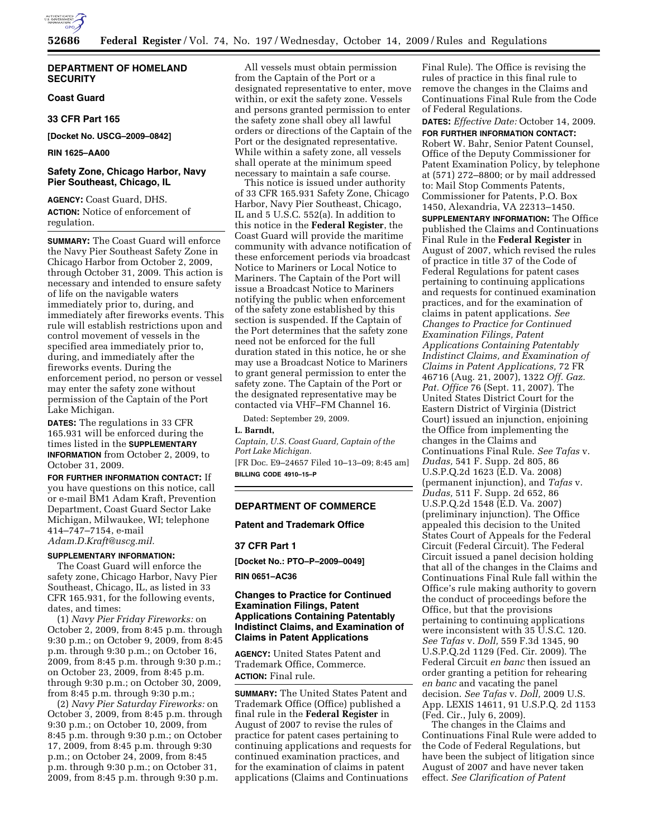

## **DEPARTMENT OF HOMELAND SECURITY**

# **Coast Guard**

## **33 CFR Part 165**

**[Docket No. USCG–2009–0842]** 

### **RIN 1625–AA00**

# **Safety Zone, Chicago Harbor, Navy Pier Southeast, Chicago, IL**

**AGENCY:** Coast Guard, DHS. **ACTION:** Notice of enforcement of regulation.

**SUMMARY:** The Coast Guard will enforce the Navy Pier Southeast Safety Zone in Chicago Harbor from October 2, 2009, through October 31, 2009. This action is necessary and intended to ensure safety of life on the navigable waters immediately prior to, during, and immediately after fireworks events. This rule will establish restrictions upon and control movement of vessels in the specified area immediately prior to, during, and immediately after the fireworks events. During the enforcement period, no person or vessel may enter the safety zone without permission of the Captain of the Port Lake Michigan.

**DATES:** The regulations in 33 CFR 165.931 will be enforced during the times listed in the **SUPPLEMENTARY INFORMATION** from October 2, 2009, to October 31, 2009.

**FOR FURTHER INFORMATION CONTACT:** If you have questions on this notice, call or e-mail BM1 Adam Kraft, Prevention Department, Coast Guard Sector Lake Michigan, Milwaukee, WI; telephone 414–747–7154, e-mail *Adam.D.Kraft@uscg.mil.* 

## **SUPPLEMENTARY INFORMATION:**

The Coast Guard will enforce the safety zone, Chicago Harbor, Navy Pier Southeast, Chicago, IL, as listed in 33 CFR 165.931, for the following events, dates, and times:

(1) *Navy Pier Friday Fireworks:* on October 2, 2009, from 8:45 p.m. through 9:30 p.m.; on October 9, 2009, from 8:45 p.m. through 9:30 p.m.; on October 16, 2009, from 8:45 p.m. through 9:30 p.m.; on October 23, 2009, from 8:45 p.m. through 9:30 p.m.; on October 30, 2009, from 8:45 p.m. through 9:30 p.m.;

(2) *Navy Pier Saturday Fireworks:* on October 3, 2009, from 8:45 p.m. through 9:30 p.m.; on October 10, 2009, from 8:45 p.m. through 9:30 p.m.; on October 17, 2009, from 8:45 p.m. through 9:30 p.m.; on October 24, 2009, from 8:45 p.m. through 9:30 p.m.; on October 31, 2009, from 8:45 p.m. through 9:30 p.m.

All vessels must obtain permission from the Captain of the Port or a designated representative to enter, move within, or exit the safety zone. Vessels and persons granted permission to enter the safety zone shall obey all lawful orders or directions of the Captain of the Port or the designated representative. While within a safety zone, all vessels shall operate at the minimum speed necessary to maintain a safe course.

This notice is issued under authority of 33 CFR 165.931 Safety Zone, Chicago Harbor, Navy Pier Southeast, Chicago, IL and 5 U.S.C. 552(a). In addition to this notice in the **Federal Register**, the Coast Guard will provide the maritime community with advance notification of these enforcement periods via broadcast Notice to Mariners or Local Notice to Mariners. The Captain of the Port will issue a Broadcast Notice to Mariners notifying the public when enforcement of the safety zone established by this section is suspended. If the Captain of the Port determines that the safety zone need not be enforced for the full duration stated in this notice, he or she may use a Broadcast Notice to Mariners to grant general permission to enter the safety zone. The Captain of the Port or the designated representative may be contacted via VHF–FM Channel 16.

Dated: September 29, 2009.

# **L. Barndt,**

*Captain, U.S. Coast Guard, Captain of the Port Lake Michigan.*  [FR Doc. E9–24657 Filed 10–13–09; 8:45 am] **BILLING CODE 4910–15–P** 

# **DEPARTMENT OF COMMERCE**

# **Patent and Trademark Office**

## **37 CFR Part 1**

**[Docket No.: PTO–P–2009–0049]** 

**RIN 0651–AC36** 

## **Changes to Practice for Continued Examination Filings, Patent Applications Containing Patentably Indistinct Claims, and Examination of Claims in Patent Applications**

**AGENCY:** United States Patent and Trademark Office, Commerce. **ACTION:** Final rule.

**SUMMARY:** The United States Patent and Trademark Office (Office) published a final rule in the **Federal Register** in August of 2007 to revise the rules of practice for patent cases pertaining to continuing applications and requests for continued examination practices, and for the examination of claims in patent applications (Claims and Continuations

Final Rule). The Office is revising the rules of practice in this final rule to remove the changes in the Claims and Continuations Final Rule from the Code of Federal Regulations.

**DATES:** *Effective Date:* October 14, 2009. **FOR FURTHER INFORMATION CONTACT:**  Robert W. Bahr, Senior Patent Counsel, Office of the Deputy Commissioner for Patent Examination Policy, by telephone at (571) 272–8800; or by mail addressed to: Mail Stop Comments Patents, Commissioner for Patents, P.O. Box 1450, Alexandria, VA 22313–1450. **SUPPLEMENTARY INFORMATION:** The Office published the Claims and Continuations Final Rule in the **Federal Register** in August of 2007, which revised the rules of practice in title 37 of the Code of Federal Regulations for patent cases pertaining to continuing applications and requests for continued examination practices, and for the examination of claims in patent applications. *See Changes to Practice for Continued Examination Filings, Patent Applications Containing Patentably Indistinct Claims, and Examination of Claims in Patent Applications,* 72 FR 46716 (Aug. 21, 2007), 1322 *Off. Gaz. Pat. Office* 76 (Sept. 11, 2007). The United States District Court for the Eastern District of Virginia (District Court) issued an injunction, enjoining the Office from implementing the changes in the Claims and Continuations Final Rule. *See Tafas* v. *Dudas,* 541 F. Supp. 2d 805, 86 U.S.P.Q.2d 1623 (E.D. Va. 2008) (permanent injunction), and *Tafas* v. *Dudas,* 511 F. Supp. 2d 652, 86 U.S.P.Q.2d 1548 (E.D. Va. 2007) (preliminary injunction). The Office appealed this decision to the United States Court of Appeals for the Federal Circuit (Federal Circuit). The Federal Circuit issued a panel decision holding that all of the changes in the Claims and Continuations Final Rule fall within the Office's rule making authority to govern the conduct of proceedings before the Office, but that the provisions pertaining to continuing applications were inconsistent with 35 U.S.C. 120. *See Tafas* v. *Doll,* 559 F.3d 1345, 90 U.S.P.Q.2d 1129 (Fed. Cir. 2009). The Federal Circuit *en banc* then issued an order granting a petition for rehearing *en banc* and vacating the panel decision. *See Tafas* v. *Doll,* 2009 U.S. App. LEXIS 14611, 91 U.S.P.Q. 2d 1153 (Fed. Cir., July 6, 2009).

The changes in the Claims and Continuations Final Rule were added to the Code of Federal Regulations, but have been the subject of litigation since August of 2007 and have never taken effect. *See Clarification of Patent*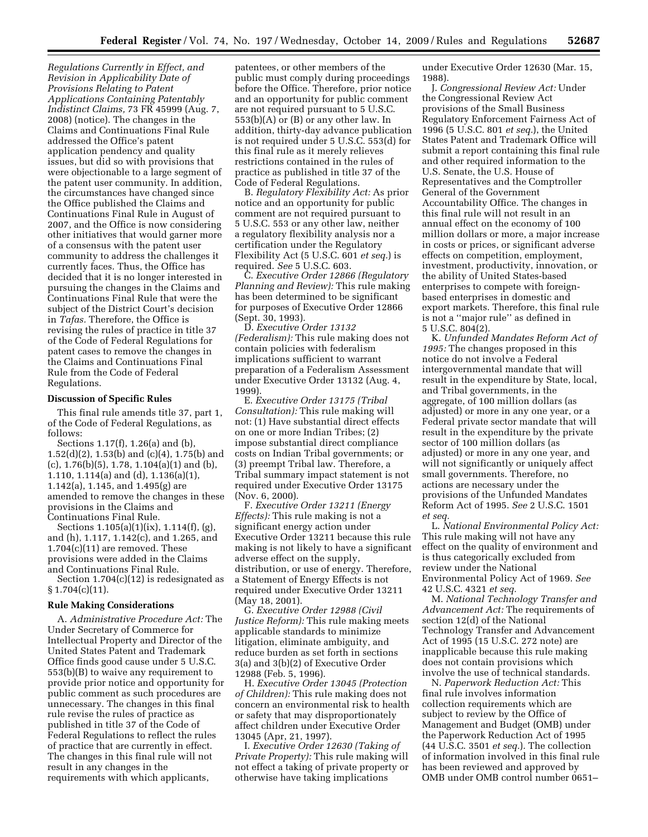*Regulations Currently in Effect, and Revision in Applicability Date of Provisions Relating to Patent Applications Containing Patentably Indistinct Claims,* 73 FR 45999 (Aug. 7, 2008) (notice). The changes in the Claims and Continuations Final Rule addressed the Office's patent application pendency and quality issues, but did so with provisions that were objectionable to a large segment of the patent user community. In addition, the circumstances have changed since the Office published the Claims and Continuations Final Rule in August of 2007, and the Office is now considering other initiatives that would garner more of a consensus with the patent user community to address the challenges it currently faces. Thus, the Office has decided that it is no longer interested in pursuing the changes in the Claims and Continuations Final Rule that were the subject of the District Court's decision in *Tafas.* Therefore, the Office is revising the rules of practice in title 37 of the Code of Federal Regulations for patent cases to remove the changes in the Claims and Continuations Final Rule from the Code of Federal Regulations.

### **Discussion of Specific Rules**

This final rule amends title 37, part 1, of the Code of Federal Regulations, as follows:

Sections 1.17(f), 1.26(a) and (b), 1.52(d)(2), 1.53(b) and (c)(4), 1.75(b) and  $(c)$ , 1.76 $(b)$  $(5)$ , 1.78, 1.104 $(a)$  $(1)$  and  $(b)$ , 1.110, 1.114(a) and (d), 1.136(a)(1), 1.142(a), 1.145, and 1.495(g) are amended to remove the changes in these provisions in the Claims and Continuations Final Rule.

Sections 1.105(a)(1)(ix), 1.114(f), (g), and (h), 1.117, 1.142(c), and 1.265, and 1.704(c)(11) are removed. These provisions were added in the Claims and Continuations Final Rule.

Section 1.704(c)(12) is redesignated as  $§ 1.704(c)(11).$ 

### **Rule Making Considerations**

A. *Administrative Procedure Act:* The Under Secretary of Commerce for Intellectual Property and Director of the United States Patent and Trademark Office finds good cause under 5 U.S.C. 553(b)(B) to waive any requirement to provide prior notice and opportunity for public comment as such procedures are unnecessary. The changes in this final rule revise the rules of practice as published in title 37 of the Code of Federal Regulations to reflect the rules of practice that are currently in effect. The changes in this final rule will not result in any changes in the requirements with which applicants,

patentees, or other members of the public must comply during proceedings before the Office. Therefore, prior notice and an opportunity for public comment are not required pursuant to 5 U.S.C. 553(b)(A) or (B) or any other law. In addition, thirty-day advance publication is not required under 5 U.S.C. 553(d) for this final rule as it merely relieves restrictions contained in the rules of practice as published in title 37 of the Code of Federal Regulations.

B. *Regulatory Flexibility Act:* As prior notice and an opportunity for public comment are not required pursuant to 5 U.S.C. 553 or any other law, neither a regulatory flexibility analysis nor a certification under the Regulatory Flexibility Act (5 U.S.C. 601 *et seq.*) is required. *See* 5 U.S.C. 603.

C. *Executive Order 12866 (Regulatory Planning and Review):* This rule making has been determined to be significant for purposes of Executive Order 12866 (Sept. 30, 1993).

D. *Executive Order 13132 (Federalism):* This rule making does not contain policies with federalism implications sufficient to warrant preparation of a Federalism Assessment under Executive Order 13132 (Aug. 4, 1999).

E. *Executive Order 13175 (Tribal Consultation):* This rule making will not: (1) Have substantial direct effects on one or more Indian Tribes; (2) impose substantial direct compliance costs on Indian Tribal governments; or (3) preempt Tribal law. Therefore, a Tribal summary impact statement is not required under Executive Order 13175 (Nov. 6, 2000).

F. *Executive Order 13211 (Energy Effects):* This rule making is not a significant energy action under Executive Order 13211 because this rule making is not likely to have a significant adverse effect on the supply, distribution, or use of energy. Therefore, a Statement of Energy Effects is not required under Executive Order 13211 (May 18, 2001).

G. *Executive Order 12988 (Civil Justice Reform):* This rule making meets applicable standards to minimize litigation, eliminate ambiguity, and reduce burden as set forth in sections 3(a) and 3(b)(2) of Executive Order 12988 (Feb. 5, 1996).

H. *Executive Order 13045 (Protection of Children):* This rule making does not concern an environmental risk to health or safety that may disproportionately affect children under Executive Order 13045 (Apr, 21, 1997).

I. *Executive Order 12630 (Taking of Private Property):* This rule making will not effect a taking of private property or otherwise have taking implications

under Executive Order 12630 (Mar. 15, 1988).

J. *Congressional Review Act:* Under the Congressional Review Act provisions of the Small Business Regulatory Enforcement Fairness Act of 1996 (5 U.S.C. 801 *et seq.*), the United States Patent and Trademark Office will submit a report containing this final rule and other required information to the U.S. Senate, the U.S. House of Representatives and the Comptroller General of the Government Accountability Office. The changes in this final rule will not result in an annual effect on the economy of 100 million dollars or more, a major increase in costs or prices, or significant adverse effects on competition, employment, investment, productivity, innovation, or the ability of United States-based enterprises to compete with foreignbased enterprises in domestic and export markets. Therefore, this final rule is not a ''major rule'' as defined in 5 U.S.C. 804(2).

K. *Unfunded Mandates Reform Act of 1995:* The changes proposed in this notice do not involve a Federal intergovernmental mandate that will result in the expenditure by State, local, and Tribal governments, in the aggregate, of 100 million dollars (as adjusted) or more in any one year, or a Federal private sector mandate that will result in the expenditure by the private sector of 100 million dollars (as adjusted) or more in any one year, and will not significantly or uniquely affect small governments. Therefore, no actions are necessary under the provisions of the Unfunded Mandates Reform Act of 1995. *See* 2 U.S.C. 1501 *et seq.* 

L. *National Environmental Policy Act:*  This rule making will not have any effect on the quality of environment and is thus categorically excluded from review under the National Environmental Policy Act of 1969. *See*  42 U.S.C. 4321 *et seq.* 

M. *National Technology Transfer and Advancement Act:* The requirements of section 12(d) of the National Technology Transfer and Advancement Act of 1995 (15 U.S.C. 272 note) are inapplicable because this rule making does not contain provisions which involve the use of technical standards.

N. *Paperwork Reduction Act:* This final rule involves information collection requirements which are subject to review by the Office of Management and Budget (OMB) under the Paperwork Reduction Act of 1995 (44 U.S.C. 3501 *et seq.*). The collection of information involved in this final rule has been reviewed and approved by OMB under OMB control number 0651–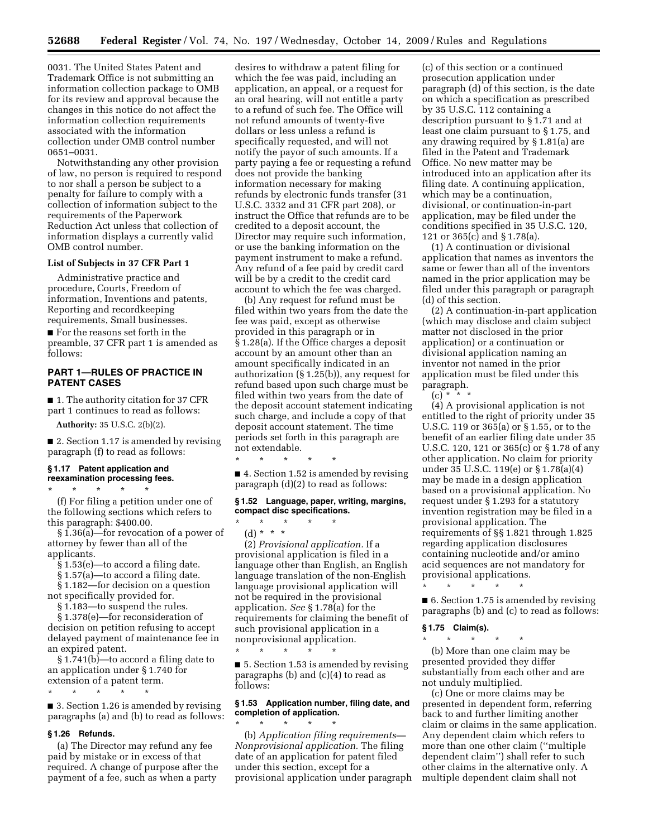0031. The United States Patent and Trademark Office is not submitting an information collection package to OMB for its review and approval because the changes in this notice do not affect the information collection requirements associated with the information collection under OMB control number 0651–0031.

Notwithstanding any other provision of law, no person is required to respond to nor shall a person be subject to a penalty for failure to comply with a collection of information subject to the requirements of the Paperwork Reduction Act unless that collection of information displays a currently valid OMB control number.

### **List of Subjects in 37 CFR Part 1**

Administrative practice and procedure, Courts, Freedom of information, Inventions and patents, Reporting and recordkeeping requirements, Small businesses.

■ For the reasons set forth in the preamble, 37 CFR part 1 is amended as follows:

# **PART 1—RULES OF PRACTICE IN PATENT CASES**

■ 1. The authority citation for 37 CFR part 1 continues to read as follows:

**Authority:** 35 U.S.C. 2(b)(2).

■ 2. Section 1.17 is amended by revising paragraph (f) to read as follows:

# **§ 1.17 Patent application and reexamination processing fees.**

\* \* \* \* \*

(f) For filing a petition under one of the following sections which refers to this paragraph: \$400.00.

§ 1.36(a)—for revocation of a power of attorney by fewer than all of the applicants.

§ 1.53(e)—to accord a filing date.

§ 1.57(a)—to accord a filing date.

§ 1.182—for decision on a question not specifically provided for.

§ 1.183—to suspend the rules.

§ 1.378(e)—for reconsideration of decision on petition refusing to accept delayed payment of maintenance fee in an expired patent.

§ 1.741(b)—to accord a filing date to an application under § 1.740 for extension of a patent term.

\* \* \* \* \*

■ 3. Section 1.26 is amended by revising paragraphs (a) and (b) to read as follows:

### **§ 1.26 Refunds.**

(a) The Director may refund any fee paid by mistake or in excess of that required. A change of purpose after the payment of a fee, such as when a party

desires to withdraw a patent filing for which the fee was paid, including an application, an appeal, or a request for an oral hearing, will not entitle a party to a refund of such fee. The Office will not refund amounts of twenty-five dollars or less unless a refund is specifically requested, and will not notify the payor of such amounts. If a party paying a fee or requesting a refund does not provide the banking information necessary for making refunds by electronic funds transfer (31 U.S.C. 3332 and 31 CFR part 208), or instruct the Office that refunds are to be credited to a deposit account, the Director may require such information, or use the banking information on the payment instrument to make a refund. Any refund of a fee paid by credit card will be by a credit to the credit card account to which the fee was charged.

(b) Any request for refund must be filed within two years from the date the fee was paid, except as otherwise provided in this paragraph or in § 1.28(a). If the Office charges a deposit account by an amount other than an amount specifically indicated in an authorization (§ 1.25(b)), any request for refund based upon such charge must be filed within two years from the date of the deposit account statement indicating such charge, and include a copy of that deposit account statement. The time periods set forth in this paragraph are not extendable.

■ 4. Section 1.52 is amended by revising paragraph (d)(2) to read as follows:

### **§ 1.52 Language, paper, writing, margins, compact disc specifications.**

# \* \* \* \* \*

\* \* \* \* \*

(d) \* \* \* (2) *Provisional application.* If a provisional application is filed in a language other than English, an English language translation of the non-English language provisional application will not be required in the provisional application. *See* § 1.78(a) for the requirements for claiming the benefit of such provisional application in a nonprovisional application.

■ 5. Section 1.53 is amended by revising paragraphs (b) and (c)(4) to read as follows:

\* \* \* \* \*

## **§ 1.53 Application number, filing date, and completion of application.**

\* \* \* \* \* (b) *Application filing requirements— Nonprovisional application.* The filing date of an application for patent filed under this section, except for a provisional application under paragraph

(c) of this section or a continued prosecution application under paragraph (d) of this section, is the date on which a specification as prescribed by 35 U.S.C. 112 containing a description pursuant to § 1.71 and at least one claim pursuant to § 1.75, and any drawing required by § 1.81(a) are filed in the Patent and Trademark Office. No new matter may be introduced into an application after its filing date. A continuing application, which may be a continuation, divisional, or continuation-in-part application, may be filed under the conditions specified in 35 U.S.C. 120, 121 or 365(c) and § 1.78(a).

(1) A continuation or divisional application that names as inventors the same or fewer than all of the inventors named in the prior application may be filed under this paragraph or paragraph (d) of this section.

(2) A continuation-in-part application (which may disclose and claim subject matter not disclosed in the prior application) or a continuation or divisional application naming an inventor not named in the prior application must be filed under this paragraph.

 $(c) * * * *$ 

(4) A provisional application is not entitled to the right of priority under 35 U.S.C. 119 or 365(a) or § 1.55, or to the benefit of an earlier filing date under 35 U.S.C. 120, 121 or 365(c) or § 1.78 of any other application. No claim for priority under 35 U.S.C. 119(e) or § 1.78(a)(4) may be made in a design application based on a provisional application. No request under § 1.293 for a statutory invention registration may be filed in a provisional application. The requirements of §§ 1.821 through 1.825 regarding application disclosures containing nucleotide and/or amino acid sequences are not mandatory for provisional applications.

■ 6. Section 1.75 is amended by revising paragraphs (b) and (c) to read as follows:

# **§ 1.75 Claim(s).**

\* \* \* \* \*

\* \* \* \* \* (b) More than one claim may be presented provided they differ substantially from each other and are not unduly multiplied.

(c) One or more claims may be presented in dependent form, referring back to and further limiting another claim or claims in the same application. Any dependent claim which refers to more than one other claim (''multiple dependent claim'') shall refer to such other claims in the alternative only. A multiple dependent claim shall not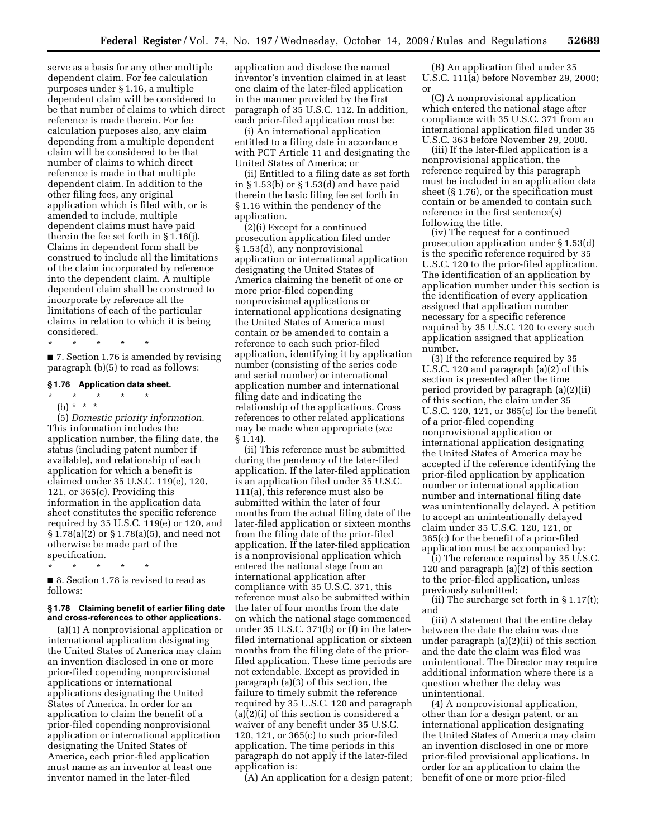serve as a basis for any other multiple dependent claim. For fee calculation purposes under § 1.16, a multiple dependent claim will be considered to be that number of claims to which direct reference is made therein. For fee calculation purposes also, any claim depending from a multiple dependent claim will be considered to be that number of claims to which direct reference is made in that multiple dependent claim. In addition to the other filing fees, any original application which is filed with, or is amended to include, multiple dependent claims must have paid therein the fee set forth in § 1.16(j). Claims in dependent form shall be construed to include all the limitations of the claim incorporated by reference into the dependent claim. A multiple dependent claim shall be construed to incorporate by reference all the limitations of each of the particular claims in relation to which it is being considered.

\* \* \* \* \* ■ 7. Section 1.76 is amended by revising paragraph (b)(5) to read as follows:

### **§ 1.76 Application data sheet.**

\* \* \* \* \* (b) \* \* \*

(5) *Domestic priority information.*  This information includes the application number, the filing date, the status (including patent number if available), and relationship of each application for which a benefit is claimed under 35 U.S.C. 119(e), 120, 121, or 365(c). Providing this information in the application data sheet constitutes the specific reference required by 35 U.S.C. 119(e) or 120, and § 1.78(a)(2) or § 1.78(a)(5), and need not otherwise be made part of the specification.

\* \* \* \* \*

■ 8. Section 1.78 is revised to read as follows:

### **§ 1.78 Claiming benefit of earlier filing date and cross-references to other applications.**

(a)(1) A nonprovisional application or international application designating the United States of America may claim an invention disclosed in one or more prior-filed copending nonprovisional applications or international applications designating the United States of America. In order for an application to claim the benefit of a prior-filed copending nonprovisional application or international application designating the United States of America, each prior-filed application must name as an inventor at least one inventor named in the later-filed

application and disclose the named inventor's invention claimed in at least one claim of the later-filed application in the manner provided by the first paragraph of 35 U.S.C. 112. In addition, each prior-filed application must be:

(i) An international application entitled to a filing date in accordance with PCT Article 11 and designating the United States of America; or

(ii) Entitled to a filing date as set forth in § 1.53(b) or § 1.53(d) and have paid therein the basic filing fee set forth in § 1.16 within the pendency of the application.

(2)(i) Except for a continued prosecution application filed under § 1.53(d), any nonprovisional application or international application designating the United States of America claiming the benefit of one or more prior-filed copending nonprovisional applications or international applications designating the United States of America must contain or be amended to contain a reference to each such prior-filed application, identifying it by application number (consisting of the series code and serial number) or international application number and international filing date and indicating the relationship of the applications. Cross references to other related applications may be made when appropriate (*see*  § 1.14).

(ii) This reference must be submitted during the pendency of the later-filed application. If the later-filed application is an application filed under 35 U.S.C. 111(a), this reference must also be submitted within the later of four months from the actual filing date of the later-filed application or sixteen months from the filing date of the prior-filed application. If the later-filed application is a nonprovisional application which entered the national stage from an international application after compliance with 35 U.S.C. 371, this reference must also be submitted within the later of four months from the date on which the national stage commenced under 35 U.S.C. 371(b) or (f) in the laterfiled international application or sixteen months from the filing date of the priorfiled application. These time periods are not extendable. Except as provided in paragraph (a)(3) of this section, the failure to timely submit the reference required by 35 U.S.C. 120 and paragraph (a)(2)(i) of this section is considered a waiver of any benefit under 35 U.S.C. 120, 121, or 365(c) to such prior-filed application. The time periods in this paragraph do not apply if the later-filed application is:

(A) An application for a design patent;

(B) An application filed under 35 U.S.C. 111(a) before November 29, 2000; or

(C) A nonprovisional application which entered the national stage after compliance with 35 U.S.C. 371 from an international application filed under 35 U.S.C. 363 before November 29, 2000.

(iii) If the later-filed application is a nonprovisional application, the reference required by this paragraph must be included in an application data sheet (§ 1.76), or the specification must contain or be amended to contain such reference in the first sentence(s) following the title.

(iv) The request for a continued prosecution application under § 1.53(d) is the specific reference required by 35 U.S.C. 120 to the prior-filed application. The identification of an application by application number under this section is the identification of every application assigned that application number necessary for a specific reference required by 35 U.S.C. 120 to every such application assigned that application number.

(3) If the reference required by 35 U.S.C. 120 and paragraph (a)(2) of this section is presented after the time period provided by paragraph (a)(2)(ii) of this section, the claim under 35 U.S.C. 120, 121, or 365(c) for the benefit of a prior-filed copending nonprovisional application or international application designating the United States of America may be accepted if the reference identifying the prior-filed application by application number or international application number and international filing date was unintentionally delayed. A petition to accept an unintentionally delayed claim under 35 U.S.C. 120, 121, or 365(c) for the benefit of a prior-filed application must be accompanied by:

(i) The reference required by 35 U.S.C. 120 and paragraph (a)(2) of this section to the prior-filed application, unless previously submitted;

(ii) The surcharge set forth in § 1.17(t); and

(iii) A statement that the entire delay between the date the claim was due under paragraph (a)(2)(ii) of this section and the date the claim was filed was unintentional. The Director may require additional information where there is a question whether the delay was unintentional.

(4) A nonprovisional application, other than for a design patent, or an international application designating the United States of America may claim an invention disclosed in one or more prior-filed provisional applications. In order for an application to claim the benefit of one or more prior-filed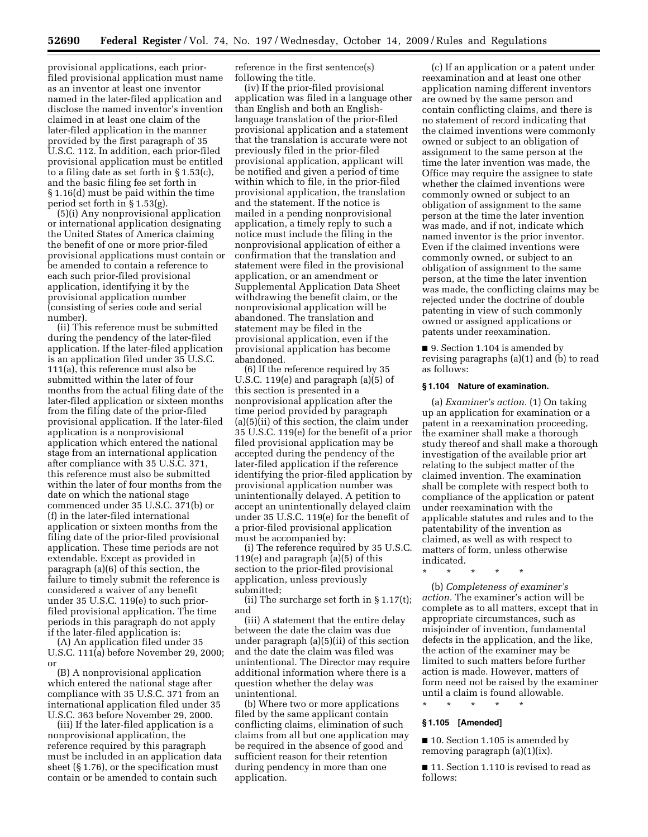provisional applications, each priorfiled provisional application must name as an inventor at least one inventor named in the later-filed application and disclose the named inventor's invention claimed in at least one claim of the later-filed application in the manner provided by the first paragraph of 35 U.S.C. 112. In addition, each prior-filed provisional application must be entitled to a filing date as set forth in § 1.53(c), and the basic filing fee set forth in § 1.16(d) must be paid within the time period set forth in § 1.53(g).

(5)(i) Any nonprovisional application or international application designating the United States of America claiming the benefit of one or more prior-filed provisional applications must contain or be amended to contain a reference to each such prior-filed provisional application, identifying it by the provisional application number (consisting of series code and serial number).

(ii) This reference must be submitted during the pendency of the later-filed application. If the later-filed application is an application filed under 35 U.S.C. 111(a), this reference must also be submitted within the later of four months from the actual filing date of the later-filed application or sixteen months from the filing date of the prior-filed provisional application. If the later-filed application is a nonprovisional application which entered the national stage from an international application after compliance with 35 U.S.C. 371, this reference must also be submitted within the later of four months from the date on which the national stage commenced under 35 U.S.C. 371(b) or (f) in the later-filed international application or sixteen months from the filing date of the prior-filed provisional application. These time periods are not extendable. Except as provided in paragraph (a)(6) of this section, the failure to timely submit the reference is considered a waiver of any benefit under 35 U.S.C. 119(e) to such priorfiled provisional application. The time periods in this paragraph do not apply if the later-filed application is:

(A) An application filed under 35 U.S.C. 111(a) before November 29, 2000; or

(B) A nonprovisional application which entered the national stage after compliance with 35 U.S.C. 371 from an international application filed under 35 U.S.C. 363 before November 29, 2000.

(iii) If the later-filed application is a nonprovisional application, the reference required by this paragraph must be included in an application data sheet (§ 1.76), or the specification must contain or be amended to contain such

reference in the first sentence(s) following the title.

(iv) If the prior-filed provisional application was filed in a language other than English and both an Englishlanguage translation of the prior-filed provisional application and a statement that the translation is accurate were not previously filed in the prior-filed provisional application, applicant will be notified and given a period of time within which to file, in the prior-filed provisional application, the translation and the statement. If the notice is mailed in a pending nonprovisional application, a timely reply to such a notice must include the filing in the nonprovisional application of either a confirmation that the translation and statement were filed in the provisional application, or an amendment or Supplemental Application Data Sheet withdrawing the benefit claim, or the nonprovisional application will be abandoned. The translation and statement may be filed in the provisional application, even if the provisional application has become abandoned.

(6) If the reference required by 35 U.S.C. 119 $(e)$  and paragraph  $(a)(5)$  of this section is presented in a nonprovisional application after the time period provided by paragraph (a)(5)(ii) of this section, the claim under 35 U.S.C. 119(e) for the benefit of a prior filed provisional application may be accepted during the pendency of the later-filed application if the reference identifying the prior-filed application by provisional application number was unintentionally delayed. A petition to accept an unintentionally delayed claim under 35 U.S.C. 119(e) for the benefit of a prior-filed provisional application must be accompanied by:

(i) The reference required by 35 U.S.C. 119(e) and paragraph (a)(5) of this section to the prior-filed provisional application, unless previously submitted;

(ii) The surcharge set forth in § 1.17(t); and

(iii) A statement that the entire delay between the date the claim was due under paragraph (a)(5)(ii) of this section and the date the claim was filed was unintentional. The Director may require additional information where there is a question whether the delay was unintentional.

(b) Where two or more applications filed by the same applicant contain conflicting claims, elimination of such claims from all but one application may be required in the absence of good and sufficient reason for their retention during pendency in more than one application.

(c) If an application or a patent under reexamination and at least one other application naming different inventors are owned by the same person and contain conflicting claims, and there is no statement of record indicating that the claimed inventions were commonly owned or subject to an obligation of assignment to the same person at the time the later invention was made, the Office may require the assignee to state whether the claimed inventions were commonly owned or subject to an obligation of assignment to the same person at the time the later invention was made, and if not, indicate which named inventor is the prior inventor. Even if the claimed inventions were commonly owned, or subject to an obligation of assignment to the same person, at the time the later invention was made, the conflicting claims may be rejected under the doctrine of double patenting in view of such commonly owned or assigned applications or patents under reexamination.

■ 9. Section 1.104 is amended by revising paragraphs (a)(1) and (b) to read as follows:

#### **§ 1.104 Nature of examination.**

(a) *Examiner's action.* (1) On taking up an application for examination or a patent in a reexamination proceeding, the examiner shall make a thorough study thereof and shall make a thorough investigation of the available prior art relating to the subject matter of the claimed invention. The examination shall be complete with respect both to compliance of the application or patent under reexamination with the applicable statutes and rules and to the patentability of the invention as claimed, as well as with respect to matters of form, unless otherwise indicated.

\* \* \* \* \*

(b) *Completeness of examiner's action.* The examiner's action will be complete as to all matters, except that in appropriate circumstances, such as misjoinder of invention, fundamental defects in the application, and the like, the action of the examiner may be limited to such matters before further action is made. However, matters of form need not be raised by the examiner until a claim is found allowable.

#### **§ 1.105 [Amended]**

\* \* \* \* \*

■ 10. Section 1.105 is amended by removing paragraph (a)(1)(ix).

■ 11. Section 1.110 is revised to read as follows: